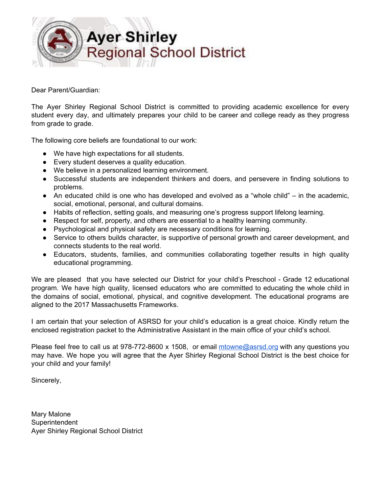

Dear Parent/Guardian:

The Ayer Shirley Regional School District is committed to providing academic excellence for every student every day, and ultimately prepares your child to be career and college ready as they progress from grade to grade.

The following core beliefs are foundational to our work:

- We have high expectations for all students.
- Every student deserves a quality education.
- We believe in a personalized learning environment.
- Successful students are independent thinkers and doers, and persevere in finding solutions to problems.
- $\bullet$  An educated child is one who has developed and evolved as a "whole child" in the academic, social, emotional, personal, and cultural domains.
- Habits of reflection, setting goals, and measuring one's progress support lifelong learning.
- Respect for self, property, and others are essential to a healthy learning community.
- Psychological and physical safety are necessary conditions for learning.
- Service to others builds character, is supportive of personal growth and career development, and connects students to the real world.
- Educators, students, families, and communities collaborating together results in high quality educational programming.

We are pleased that you have selected our District for your child's Preschool - Grade 12 educational program. We have high quality, licensed educators who are committed to educating the whole child in the domains of social, emotional, physical, and cognitive development. The educational programs are aligned to the 2017 Massachusetts Frameworks.

I am certain that your selection of ASRSD for your child's education is a great choice. Kindly return the enclosed registration packet to the Administrative Assistant in the main office of your child's school.

Please feel free to call us at 978-772-8600 x 1508, or email [mtowne@asrsd.org](mailto:mtowne@asrsd.org) with any questions you may have. We hope you will agree that the Ayer Shirley Regional School District is the best choice for your child and your family!

Sincerely,

Mary Malone **Superintendent** Ayer Shirley Regional School District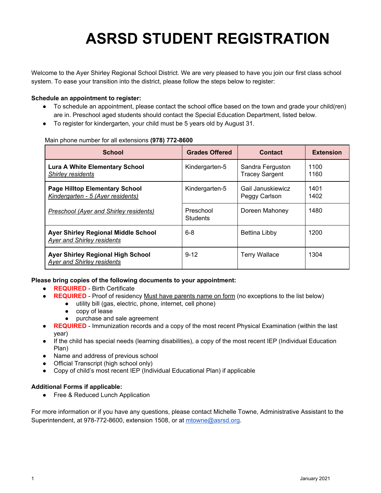# **ASRSD STUDENT REGISTRATION**

Welcome to the Ayer Shirley Regional School District. We are very pleased to have you join our first class school system. To ease your transition into the district, please follow the steps below to register:

### **Schedule an appointment to register:**

- To schedule an appointment, please contact the school office based on the town and grade your child(ren) are in. Preschool aged students should contact the Special Education Department, listed below.
- To register for kindergarten, your child must be 5 years old by August 31.

### Main phone number for all extensions **(978) 772-8600**

| <b>School</b>                                                                   | <b>Grades Offered</b>        | <b>Contact</b>                            | <b>Extension</b> |
|---------------------------------------------------------------------------------|------------------------------|-------------------------------------------|------------------|
| <b>Lura A White Elementary School</b><br><b>Shirley residents</b>               | Kindergarten-5               | Sandra Ferguston<br><b>Tracey Sargent</b> | 1100<br>1160     |
| <b>Page Hilltop Elementary School</b><br>Kindergarten - 5 (Ayer residents)      | Kindergarten-5               | Gail Januskiewicz<br>Peggy Carlson        | 1401<br>1402     |
| <b>Preschool (Ayer and Shirley residents)</b>                                   | Preschool<br><b>Students</b> | Doreen Mahoney                            | 1480             |
| <b>Ayer Shirley Regional Middle School</b><br><b>Ayer and Shirley residents</b> | $6 - 8$                      | Bettina Libby                             | 1200             |
| <b>Ayer Shirley Regional High School</b><br><b>Ayer and Shirley residents</b>   | $9 - 12$                     | <b>Terry Wallace</b>                      | 1304             |

### **Please bring copies of the following documents to your appointment:**

- **REQUIRED** Birth Certificate
- **REQUIRED** Proof of residency Must have parents name on form (no exceptions to the list below)
	- utility bill (gas, electric, phone, internet, cell phone)
	- copy of lease
	- purchase and sale agreement
- **REQUIRED** Immunization records and a copy of the most recent Physical Examination (within the last year)
- If the child has special needs (learning disabilities), a copy of the most recent IEP (Individual Education Plan)
- Name and address of previous school
- Official Transcript (high school only)
- Copy of child's most recent IEP (Individual Educational Plan) if applicable

### **Additional Forms if applicable:**

● Free & Reduced Lunch Application

For more information or if you have any questions, please contact Michelle Towne, Administrative Assistant to the Superintendent, at 978-772-8600, extension 1508, or at [mtowne@asrsd.org.](mailto:mtowne@asrsd.org)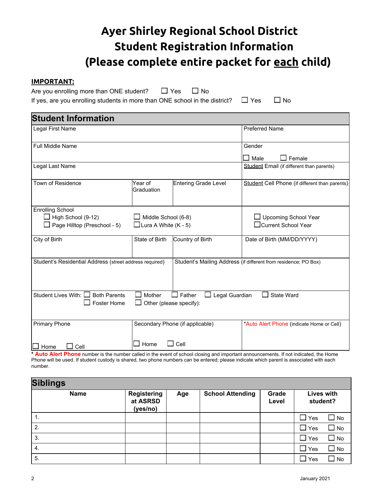## **Ayer Shirley Regional School District Student Registration Information (Please complete entire packet for each child)**

### **IMPORTANT:**

| Are you enrolling more than ONE student?                                                               | □ Yes □ No |  |  |
|--------------------------------------------------------------------------------------------------------|------------|--|--|
| If yes, are you enrolling students in more than ONE school in the district? $\square$ Yes $\square$ No |            |  |  |

**Student Information** Legal First Name Preferred Name Preferred Name Preferred Name Preferred Name Preferred Name Preferred Name Pre Full Middle Name Gender  $\square$  Male  $\square$  Female Legal Last Name Student Email (if different than parents) Student Email (if different than parents) Town of Residence **Year of Graduation** Entering Grade Level | Student Cell Phone (if different than parents) Enrolling School  $\Box$  High School (9-12)  $\Box$  Middle School (6-8)  $\Box$  Page Hilltop (Preschool - 5)  $\Box$  Lura A White (K - 5) □ Upcoming School Year □Current School Year City of Birth State of Birth Country of Birth Date of Birth (MM/DD/YYYY) Student's Residential Address (street address required) | Student's Mailing Address (if different from residence; PO Box) Student Lives With:  $\Box$  Both Parents  $\Box$  Mother  $\Box$  Father  $\Box$  Legal Guardian  $\Box$  State Ward  $\Box$  Foster Home  $\Box$  Other (please specify): Primary Phone  $\Box$  Home  $\Box$  Cell Secondary Phone (if applicable)  $\Box$  Home  $\quad \Box$  Cell \*Auto Alert Phone (indicate Home or Cell)

Auto Alert Phone number is the number called in the event of school closing and important announcements. If not indicated, the Home Phone will be used. If student custody is shared, two phone numbers can be entered; please indicate which parent is associated with each number.

| <b>Siblings</b> |                                            |     |                         |                |                               |              |
|-----------------|--------------------------------------------|-----|-------------------------|----------------|-------------------------------|--------------|
| <b>Name</b>     | <b>Registering</b><br>at ASRSD<br>(yes/no) | Age | <b>School Attending</b> | Grade<br>Level | <b>Lives with</b><br>student? |              |
| 1.              |                                            |     |                         |                | $\Box$ Yes                    | $\Box$ No    |
| 2.              |                                            |     |                         |                | $\Box$ Yes                    | $\square$ No |
| 3.              |                                            |     |                         |                | $\Box$ Yes                    | $\Box$ No    |
| 4.              |                                            |     |                         |                | $\Box$<br>l Yes               | $\Box$ No    |
| 5.              |                                            |     |                         |                | ٠<br>Yes                      | $\Box$ No    |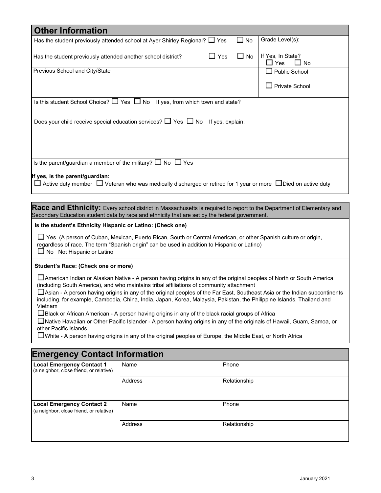| <b>Other Information</b>                                                                                                                                                                                                                     |                                                                                                                                                                                                                                                             |              |                                              |  |  |
|----------------------------------------------------------------------------------------------------------------------------------------------------------------------------------------------------------------------------------------------|-------------------------------------------------------------------------------------------------------------------------------------------------------------------------------------------------------------------------------------------------------------|--------------|----------------------------------------------|--|--|
|                                                                                                                                                                                                                                              | Has the student previously attended school at Ayer Shirley Regional? $\Box$ Yes                                                                                                                                                                             | $\square$ No | Grade Level(s):                              |  |  |
| Has the student previously attended another school district?                                                                                                                                                                                 | $\Box$ Yes                                                                                                                                                                                                                                                  | $\Box$ No    | If Yes, In State?<br>$\Box$ Yes<br>$\Box$ No |  |  |
| Previous School and City/State                                                                                                                                                                                                               |                                                                                                                                                                                                                                                             |              | $\Box$ Public School                         |  |  |
|                                                                                                                                                                                                                                              |                                                                                                                                                                                                                                                             |              | $\Box$ Private School                        |  |  |
|                                                                                                                                                                                                                                              | Is this student School Choice? $\Box$ Yes $\Box$ No If yes, from which town and state?                                                                                                                                                                      |              |                                              |  |  |
|                                                                                                                                                                                                                                              | Does your child receive special education services? $\Box$ Yes $\Box$ No If yes, explain:                                                                                                                                                                   |              |                                              |  |  |
|                                                                                                                                                                                                                                              |                                                                                                                                                                                                                                                             |              |                                              |  |  |
|                                                                                                                                                                                                                                              |                                                                                                                                                                                                                                                             |              |                                              |  |  |
| Is the parent/guardian a member of the military? $\square$ No $\square$ Yes                                                                                                                                                                  |                                                                                                                                                                                                                                                             |              |                                              |  |  |
| If yes, is the parent/guardian:                                                                                                                                                                                                              |                                                                                                                                                                                                                                                             |              |                                              |  |  |
|                                                                                                                                                                                                                                              | $\Box$ Active duty member $\Box$ Veteran who was medically discharged or retired for 1 year or more $\Box$ Died on active duty                                                                                                                              |              |                                              |  |  |
|                                                                                                                                                                                                                                              |                                                                                                                                                                                                                                                             |              |                                              |  |  |
|                                                                                                                                                                                                                                              | Race and Ethnicity: Every school district in Massachusetts is required to report to the Department of Elementary and<br>Secondary Education student data by race and ethnicity that are set by the federal government.                                      |              |                                              |  |  |
| Is the student's Ethnicity Hispanic or Latino: (Check one)                                                                                                                                                                                   |                                                                                                                                                                                                                                                             |              |                                              |  |  |
| □ Yes (A person of Cuban, Mexican, Puerto Rican, South or Central American, or other Spanish culture or origin,<br>regardless of race. The term "Spanish origin" can be used in addition to Hispanic or Latino)<br>No Not Hispanic or Latino |                                                                                                                                                                                                                                                             |              |                                              |  |  |
| Student's Race: (Check one or more)                                                                                                                                                                                                          |                                                                                                                                                                                                                                                             |              |                                              |  |  |
|                                                                                                                                                                                                                                              | □ American Indian or Alaskan Native - A person having origins in any of the original peoples of North or South America                                                                                                                                      |              |                                              |  |  |
|                                                                                                                                                                                                                                              | (including South America), and who maintains tribal affiliations of community attachment                                                                                                                                                                    |              |                                              |  |  |
|                                                                                                                                                                                                                                              | $\Box$ Asian - A person having origins in any of the original peoples of the Far East, Southeast Asia or the Indian subcontinents<br>including, for example, Cambodia, China, India, Japan, Korea, Malaysia, Pakistan, the Philippine Islands, Thailand and |              |                                              |  |  |
| Vietnam                                                                                                                                                                                                                                      | $\Box$ Black or African American - A person having origins in any of the black racial groups of Africa                                                                                                                                                      |              |                                              |  |  |
|                                                                                                                                                                                                                                              | □Native Hawaiian or Other Pacific Islander - A person having origins in any of the originals of Hawaii, Guam, Samoa, or                                                                                                                                     |              |                                              |  |  |
| other Pacific Islands<br>$\Box$ White - A person having origins in any of the original peoples of Europe, the Middle East, or North Africa                                                                                                   |                                                                                                                                                                                                                                                             |              |                                              |  |  |
| Emergency Contact Information                                                                                                                                                                                                                |                                                                                                                                                                                                                                                             |              |                                              |  |  |
| <b>Local Emergency Contact 1</b><br>(a neighbor, close friend, or relative)                                                                                                                                                                  | Name                                                                                                                                                                                                                                                        | Phone        |                                              |  |  |
|                                                                                                                                                                                                                                              | Address                                                                                                                                                                                                                                                     | Relationship |                                              |  |  |
|                                                                                                                                                                                                                                              |                                                                                                                                                                                                                                                             |              |                                              |  |  |
| <b>Local Emergency Contact 2</b><br>(a neighbor, close friend, or relative)                                                                                                                                                                  | Name                                                                                                                                                                                                                                                        | Phone        |                                              |  |  |

Address Relationship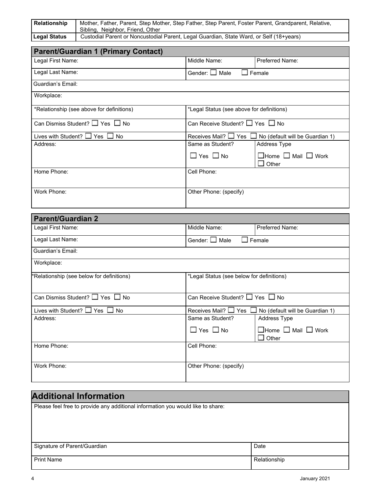| <b>Relationship</b> | Mother, Father, Parent, Step Mother, Step Father, Step Parent, Foster Parent, Grandparent, Relative,<br>Sibling, Neighbor, Friend, Other |
|---------------------|------------------------------------------------------------------------------------------------------------------------------------------|
| <b>Legal Status</b> | Custodial Parent or Noncustodial Parent, Legal Guardian, State Ward, or Self (18+years)                                                  |

| <b>Parent/Guardian 1 (Primary Contact)</b>               |                                           |                                                              |  |
|----------------------------------------------------------|-------------------------------------------|--------------------------------------------------------------|--|
| Legal First Name:                                        | Middle Name:                              | Preferred Name:                                              |  |
| Legal Last Name:                                         | Gender: $\Box$ Male                       | $\square$ Female                                             |  |
| Guardian's Email:                                        |                                           |                                                              |  |
| Workplace:                                               |                                           |                                                              |  |
| *Relationship (see above for definitions)                | *Legal Status (see above for definitions) |                                                              |  |
| Can Dismiss Student? $\Box$ Yes $\Box$ No                | Can Receive Student? $\Box$ Yes $\Box$ No |                                                              |  |
| Lives with Student? $\Box$ Yes $\Box$ No                 | Receives Mail? $\Box$ Yes $\Box$          | No (default will be Guardian 1)                              |  |
| Address:                                                 | Same as Student?                          | Address Type                                                 |  |
|                                                          | $\Box$ Yes $\Box$ No                      | $\square$ Home $\square$ Mail $\square$ Work<br>$\Box$ Other |  |
| Home Phone:                                              | Cell Phone:                               |                                                              |  |
| Work Phone:                                              | Other Phone: (specify)                    |                                                              |  |
| <b>Parent/Guardian 2</b>                                 |                                           |                                                              |  |
| Legal First Name:                                        | Middle Name:                              | Preferred Name:                                              |  |
|                                                          |                                           |                                                              |  |
| Legal Last Name:<br>Gender: $\Box$ Male<br>$\Box$ Female |                                           |                                                              |  |
| Guardian's Email:                                        |                                           |                                                              |  |
| Workplace:                                               |                                           |                                                              |  |

| *Relationship (see below for definitions) | *Legal Status (see below for definitions)      |                                                                            |  |
|-------------------------------------------|------------------------------------------------|----------------------------------------------------------------------------|--|
| Can Dismiss Student? $\Box$ Yes $\Box$ No | Can Receive Student? $\Box$ Yes $\Box$ No      |                                                                            |  |
| Lives with Student? $\Box$ Yes $\Box$ No  |                                                | Receives Mail? $\Box$ Yes $\Box$ No (default will be Guardian 1)           |  |
| Address:                                  | Same as Student?<br>$\square$ Yes $\square$ No | <b>Address Type</b><br>$\Box$ Home $\Box$ Mail $\Box$ Work<br>$\Box$ Other |  |
| Home Phone:                               | Cell Phone:                                    |                                                                            |  |
| Work Phone:                               | Other Phone: (specify)                         |                                                                            |  |

### **Additional Information**

Please feel free to provide any additional information you would like to share:

| Signature of Parent/Guardian | Date         |
|------------------------------|--------------|
| <b>Print Name</b>            | Relationship |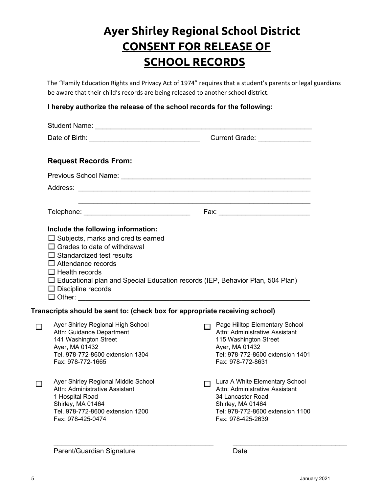## **Ayer Shirley Regional School District CONSENT FOR RELEASE OF SCHOOL RECORDS**

The "Family Education Rights and Privacy Act of 1974" requires that a student's parents or legal guardians be aware that their child's records are being released to another school district.

### **I hereby authorize the release of the school records for the following:**

|                                                                                                                                                                                                                                                                                                                                       | Current Grade: _______________                                                                                                                                        |
|---------------------------------------------------------------------------------------------------------------------------------------------------------------------------------------------------------------------------------------------------------------------------------------------------------------------------------------|-----------------------------------------------------------------------------------------------------------------------------------------------------------------------|
| <b>Request Records From:</b>                                                                                                                                                                                                                                                                                                          |                                                                                                                                                                       |
|                                                                                                                                                                                                                                                                                                                                       |                                                                                                                                                                       |
|                                                                                                                                                                                                                                                                                                                                       |                                                                                                                                                                       |
| Telephone: New York State State State State State State State State State State State State State State State State State State State State State State State State State State State State State State State State State Stat                                                                                                        |                                                                                                                                                                       |
| Include the following information:<br>$\Box$ Subjects, marks and credits earned<br>$\Box$ Grades to date of withdrawal<br>$\Box$ Standardized test results<br>$\Box$ Attendance records<br>$\Box$ Health records<br>$\Box$ Educational plan and Special Education records (IEP, Behavior Plan, 504 Plan)<br>$\Box$ Discipline records |                                                                                                                                                                       |
| Transcripts should be sent to: (check box for appropriate receiving school)                                                                                                                                                                                                                                                           |                                                                                                                                                                       |
| Ayer Shirley Regional High School<br>Attn: Guidance Department<br>141 Washington Street<br>Ayer, MA 01432<br>Tel. 978-772-8600 extension 1304<br>Fax: 978-772-1665                                                                                                                                                                    | Page Hilltop Elementary School<br>Attn: Administrative Assistant<br>115 Washington Street<br>Ayer, MA 01432<br>Tel: 978-772-8600 extension 1401<br>Fax: 978-772-8631  |
| Ayer Shirley Regional Middle School<br>Attn: Administrative Assistant<br>1 Hospital Road<br>Shirley, MA 01464<br>Tel. 978-772-8600 extension 1200<br>Fax: 978-425-0474                                                                                                                                                                | □ Lura A White Elementary School<br>Attn: Administrative Assistant<br>34 Lancaster Road<br>Shirley, MA 01464<br>Tel: 978-772-8600 extension 1100<br>Fax: 978-425-2639 |

Parent/Guardian Signature **Date** Date

\_\_\_\_\_\_\_\_\_\_\_\_\_\_\_\_\_\_\_\_\_\_\_\_\_\_\_\_\_\_\_\_\_\_\_\_\_\_\_\_\_\_ \_\_\_\_\_\_\_\_\_\_\_\_\_\_\_\_\_\_\_\_\_\_\_\_\_\_\_\_\_\_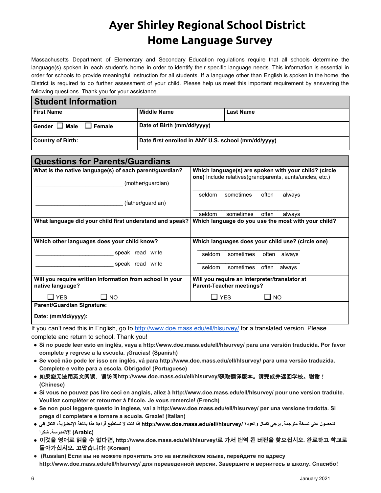## **Ayer Shirley Regional School District Home Language Survey**

Massachusetts Department of Elementary and Secondary Education regulations require that all schools determine the language(s) spoken in each student's home in order to identify their specific language needs. This information is essential in order for schools to provide meaningful instruction for all students. If a language other than English is spoken in the home, the District is required to do further assessment of your child. Please help us meet this important requirement by answering the following questions. Thank you for your assistance.

| <b>Student Information</b>             |                                                     |                  |  |  |
|----------------------------------------|-----------------------------------------------------|------------------|--|--|
| <b>First Name</b>                      | <b>Middle Name</b>                                  | <b>Last Name</b> |  |  |
| Gender<br>$\Box$ Male<br>$\Box$ Female | Date of Birth (mm/dd/yyyy)                          |                  |  |  |
| <b>Country of Birth:</b>               | Date first enrolled in ANY U.S. school (mm/dd/yyyy) |                  |  |  |

| <b>Questions for Parents/Guardians</b>                                       |                                                                                  |
|------------------------------------------------------------------------------|----------------------------------------------------------------------------------|
| What is the native language(s) of each parent/guardian?                      | Which language(s) are spoken with your child? (circle                            |
| (mother/guardian)                                                            | one) Include relatives (grandparents, aunts/uncles, etc.)                        |
|                                                                              | seldom<br>sometimes<br>often<br>always                                           |
| (father/guardian)                                                            |                                                                                  |
|                                                                              | often<br>seldom<br>sometimes<br>always                                           |
| What language did your child first understand and speak?                     | Which language do you use the most with your child?                              |
| Which other languages does your child know?                                  | Which languages does your child use? (circle one)                                |
| speak read write                                                             | sometimes<br>often<br>seldom<br>always                                           |
| speak read write                                                             | sometimes often<br>seldom<br>always                                              |
| Will you require written information from school in your<br>native language? | Will you require an interpreter/translator at<br><b>Parent-Teacher meetings?</b> |
| $\square$ YES<br>$\Box$ NO                                                   | $\square$ YES<br>$\square$ No                                                    |
| <b>Parent/Guardian Signature:</b>                                            |                                                                                  |

### **Date: (mm/dd/yyyy):**

If you can't read this in English, go to <http://www.doe.mass.edu/ell/hlsurvey/> for a translated version. Please complete and return to school. Thank you!

- **● Si no puede leer esto en inglés, vaya a http://www.doe.mass.edu/ell/hlsurvey/ para una versión traducida. Por favor complete y regrese a la escuela. ¡Gracias! (Spanish)**
- **● Se você não pode ler isso em inglês, vá para http://www.doe.mass.edu/ell/hlsurvey/ para uma versão traduzida. Complete e volte para a escola. Obrigado! (Portuguese)**
- **●** 如果您无法用英文阅读,请访问**http://www.doe.mass.edu/ell/hlsurvey/**获取翻译版本。请完成并返回学校。谢谢! **(Chinese)**
- **● Si vous ne pouvez pas lire ceci en anglais, allez à http://www.doe.mass.edu/ell/hlsurvey/ pour une version traduite. Veuillez compléter et retourner à l'école. Je vous remercie! (French)**
- **● Se non puoi leggere questo in inglese, vai a http://www.doe.mass.edu/ell/hlsurvey/ per una versione tradotta. Si prega di completare e tornare a scuola. Grazie! (Italian)**
- **للحصول على نسخة مترجمة. یرجى إكمال والعودة /hlsurvey/ell/edu.mass.doe.www://http إذا كنت لا تستطیع قراءة هذا باللغة الإنجلیزیة، انتقل إلى ● (Arabic! (إلالمدرسة. شكرا**
- **●** 이것을 영어로 읽을 수 없다면**, http://www.doe.mass.edu/ell/hlsurvey/**로 가서 번역 된 버전을 찾으십시오**.** 완료하고 학교로 돌아가십시오**.** 고맙습니다**! (Korean)**
- **(Russian) Если вы не можете прочитать это на английском языке, перейдите по адресу http://www.doe.mass.edu/ell/hlsurvey/ для переведенной версии. Завершите и вернитесь в школу. Спасибо!**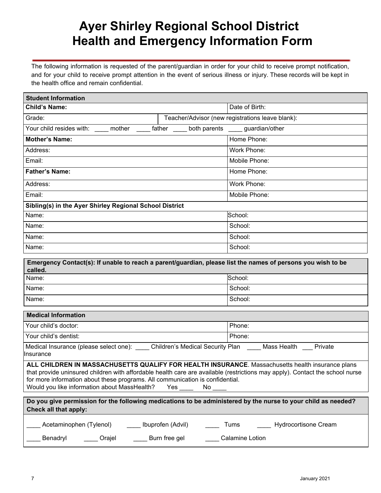## **Ayer Shirley Regional School District Health and Emergency Information Form**

The following information is requested of the parent/guardian in order for your child to receive prompt notification, and for your child to receive prompt attention in the event of serious illness or injury. These records will be kept in the health office and remain confidential.

| <b>Student Information</b>                                                                                                                                                                                                                                                                                                                                                                |               |                                                  |  |
|-------------------------------------------------------------------------------------------------------------------------------------------------------------------------------------------------------------------------------------------------------------------------------------------------------------------------------------------------------------------------------------------|---------------|--------------------------------------------------|--|
| <b>Child's Name:</b>                                                                                                                                                                                                                                                                                                                                                                      |               | Date of Birth:                                   |  |
| Grade:                                                                                                                                                                                                                                                                                                                                                                                    |               | Teacher/Advisor (new registrations leave blank): |  |
| Your child resides with: _____ mother _____ father ____                                                                                                                                                                                                                                                                                                                                   |               | both parents _____ guardian/other                |  |
| <b>Mother's Name:</b>                                                                                                                                                                                                                                                                                                                                                                     |               | Home Phone:                                      |  |
| Address:                                                                                                                                                                                                                                                                                                                                                                                  |               | Work Phone:                                      |  |
| Email:                                                                                                                                                                                                                                                                                                                                                                                    |               | Mobile Phone:                                    |  |
| <b>Father's Name:</b>                                                                                                                                                                                                                                                                                                                                                                     |               | Home Phone:                                      |  |
| Address:                                                                                                                                                                                                                                                                                                                                                                                  |               | Work Phone:                                      |  |
| Email:                                                                                                                                                                                                                                                                                                                                                                                    |               | Mobile Phone:                                    |  |
| Sibling(s) in the Ayer Shirley Regional School District                                                                                                                                                                                                                                                                                                                                   |               |                                                  |  |
| Name:                                                                                                                                                                                                                                                                                                                                                                                     |               | School:                                          |  |
| Name:                                                                                                                                                                                                                                                                                                                                                                                     |               | School:                                          |  |
| Name:                                                                                                                                                                                                                                                                                                                                                                                     |               | School:                                          |  |
| Name:                                                                                                                                                                                                                                                                                                                                                                                     |               | School:                                          |  |
| Emergency Contact(s): If unable to reach a parent/guardian, please list the names of persons you wish to be<br>called.                                                                                                                                                                                                                                                                    |               |                                                  |  |
| Name:                                                                                                                                                                                                                                                                                                                                                                                     |               | School:                                          |  |
| Name:                                                                                                                                                                                                                                                                                                                                                                                     |               | School:                                          |  |
| Name:                                                                                                                                                                                                                                                                                                                                                                                     |               | School:                                          |  |
| <b>Medical Information</b>                                                                                                                                                                                                                                                                                                                                                                |               |                                                  |  |
| Your child's doctor:                                                                                                                                                                                                                                                                                                                                                                      |               | Phone:                                           |  |
| Your child's dentist:                                                                                                                                                                                                                                                                                                                                                                     |               | Phone:                                           |  |
| Medical Insurance (please select one): _____ Children's Medical Security Plan _____ Mass Health ____ Private<br>llnsurance                                                                                                                                                                                                                                                                |               |                                                  |  |
| ALL CHILDREN IN MASSACHUSETTS QUALIFY FOR HEALTH INSURANCE. Massachusetts health insurance plans<br>that provide uninsured children with affordable health care are available (restrictions may apply). Contact the school nurse<br>for more information about these programs. All communication is confidential.<br>Would you like information about MassHealth?<br>$No \xrightarrow{ }$ |               |                                                  |  |
| Do you give permission for the following medications to be administered by the nurse to your child as needed?                                                                                                                                                                                                                                                                             |               |                                                  |  |
| Check all that apply:                                                                                                                                                                                                                                                                                                                                                                     |               |                                                  |  |
| Acetaminophen (Tylenol)<br>Luprofen (Advil)                                                                                                                                                                                                                                                                                                                                               |               | Tums<br>Hydrocortisone Cream                     |  |
| Benadryl<br>____ Orajel                                                                                                                                                                                                                                                                                                                                                                   | Burn free gel | Calamine Lotion                                  |  |